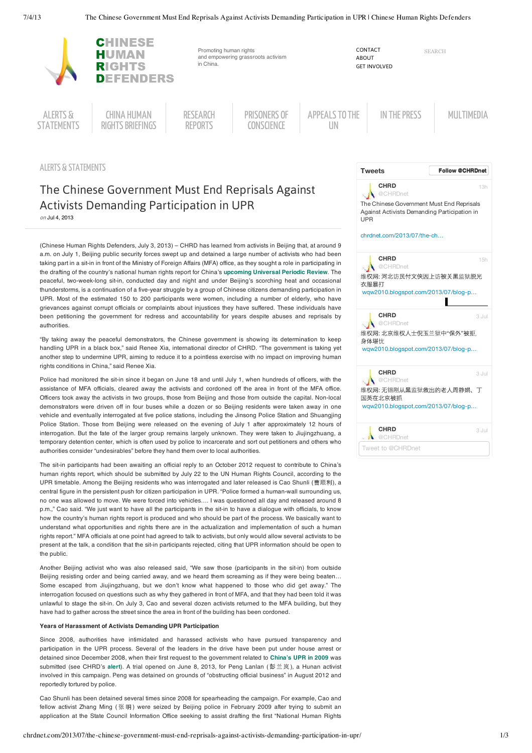

ALERTS & STATEMENTS

# The Chinese Government Must End Reprisals Against Activists Demanding Participation in UPR

on Jul 4, 2013

(Chinese Human Rights Defenders, July 3, 2013) – CHRD has learned from activists in Beijing that, at around 9 a.m. on July 1, Beijing public security forces swept up and detained a large number of activists who had been taking part in a sit-in in front of the Ministry of Foreign Affairs (MFA) office, as they sought a role in participating in the drafting of the country's national human rights report for China's **upcoming Universal Periodic Review**. The peaceful, two-week-long sit-in, conducted day and night and under Beijing's scorching heat and occasional thunderstorms, is a continuation of a five-year struggle by a group of Chinese citizens demanding participation in UPR. Most of the estimated 150 to 200 participants were women, including a number of elderly, who have grievances against corrupt officials or complaints about injustices they have suffered. These individuals have been petitioning the government for redress and accountability for years despite abuses and reprisals by authorities.

"By taking away the peaceful demonstrators, the Chinese government is showing its determination to keep handling UPR in a black box," said Renee Xia, international director of CHRD. "The government is taking yet another step to undermine UPR, aiming to reduce it to a pointless exercise with no impact on improving human rights conditions in China," said Renee Xia.

Police had monitored the sit-in since it began on June 18 and until July 1, when hundreds of officers, with the assistance of MFA officials, cleared away the activists and cordoned off the area in front of the MFA office. Officers took away the activists in two groups, those from Beijing and those from outside the capital. Non-local demonstrators were driven off in four buses while a dozen or so Beijing residents were taken away in one vehicle and eventually interrogated at five police stations, including the Jinsong Police Station and Shuangjing Police Station. Those from Beijing were released on the evening of July 1 after approximately 12 hours of interrogation. But the fate of the larger group remains largely unknown. They were taken to Jiujingzhuang, a temporary detention center, which is often used by police to incarcerate and sort out petitioners and others who authorities consider "undesirables" before they hand them over to local authorities.

The sit-in participants had been awaiting an official reply to an October 2012 request to contribute to China's human rights report, which should be submitted by July 22 to the UN Human Rights Council, according to the UPR timetable. Among the Beijing residents who was interrogated and later released is Cao Shunli (曹顺利), a central figure in the persistent push for citizen participation in UPR. "Police formed a human-wall surrounding us, no one was allowed to move. We were forced into vehicles…. I was questioned all day and released around 8 p.m.," Cao said. "We just want to have all the participants in the sit-in to have a dialogue with officials, to know how the country's human rights report is produced and who should be part of the process. We basically want to understand what opportunities and rights there are in the actualization and implementation of such a human rights report." MFA officials at one point had agreed to talk to activists, but only would allow several activists to be present at the talk, a condition that the sit-in participants rejected, citing that UPR information should be open to the public.

Another Beijing activist who was also released said, "We saw those (participants in the sit-in) from outside Beijing resisting order and being carried away, and we heard them screaming as if they were being beaten… Some escaped from Jiujingzhuang, but we don't know what happened to those who did get away." The interrogation focused on questions such as why they gathered in front of MFA, and that they had been told it was unlawful to stage the sit-in. On July 3, Cao and several dozen activists returned to the MFA building, but they have had to gather across the street since the area in front of the building has been cordoned.

## **Years of Harassment of Activists Demanding UPR Participation**

Since 2008, authorities have intimidated and harassed activists who have pursued transparency and participation in the UPR process. Several of the leaders in the drive have been put under house arrest or detained since December 2008, when their first request to the government related to **China's UPR in 2009** was submitted (see CHRD's **alert**). A trial opened on June 8, 2013, for Peng Lanlan ( 兰 岚 ), a Hunan activist involved in this campaign. Peng was detained on grounds of "obstructing official business" in August 2012 and reportedly tortured by police.

Cao Shunli has been detained several times since 2008 for spearheading the campaign. For example, Cao and fellow activist Zhang Ming (张明) were seized by Beijing police in February 2009 after trying to submit an application at the State Council Information Office seeking to assist drafting the first "National Human Rights

| <b>Tweets</b>                                                                                                        | <b>Follow @CHRDnet</b> |
|----------------------------------------------------------------------------------------------------------------------|------------------------|
| CHRD<br>@CHRDnet<br>The Chinese Government Must End Reprisals<br>Against Activists Demanding Participation in<br>UPR | 13h                    |
| chrdnet.com/2013/07/the-ch                                                                                           |                        |
| CHRD<br>@CHRDnet                                                                                                     | 15h                    |
| 维权网: 河北访民付文侠因上访被关黑监狱脱光<br>衣服暴打                                                                                       |                        |
| wgw2010.blogspot.com/2013/07/blog-p                                                                                  |                        |
| CHRD<br>@CHRDnet                                                                                                     | 3 Jul                  |
| 维权网: 北京维权人士倪玉兰狱中"保外"被拒.<br>身体堪忧                                                                                      |                        |
| wgw2010.blogspot.com/2013/07/blog-p                                                                                  |                        |
| CHRD<br>@CHRDnet                                                                                                     | 3 Jul                  |
| 维权网:无锡刚从黑监狱救出的老人周静娟、丁<br>国英在北京被抓                                                                                     |                        |
| wqw2010.blogspot.com/2013/07/blog-p                                                                                  |                        |
| CHRD<br>@CHRDnet                                                                                                     | 3 Jul                  |
|                                                                                                                      |                        |